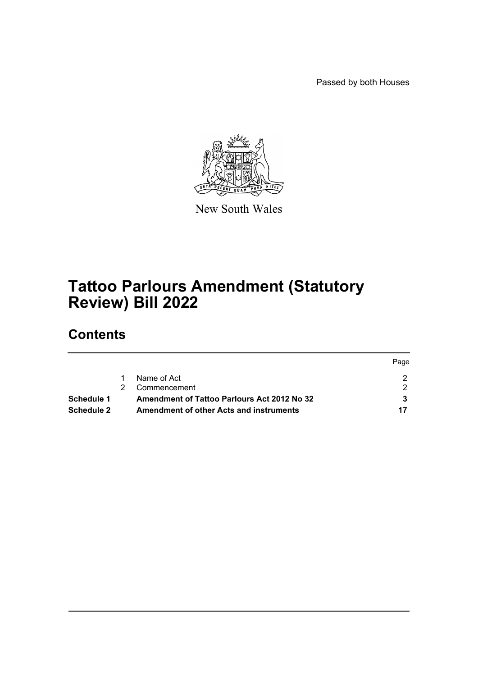Passed by both Houses



New South Wales

# **Tattoo Parlours Amendment (Statutory Review) Bill 2022**

# **Contents**

|            |                                                    | Page |
|------------|----------------------------------------------------|------|
|            | Name of Act                                        |      |
|            | Commencement                                       |      |
| Schedule 1 | <b>Amendment of Tattoo Parlours Act 2012 No 32</b> |      |
| Schedule 2 | Amendment of other Acts and instruments            | 17   |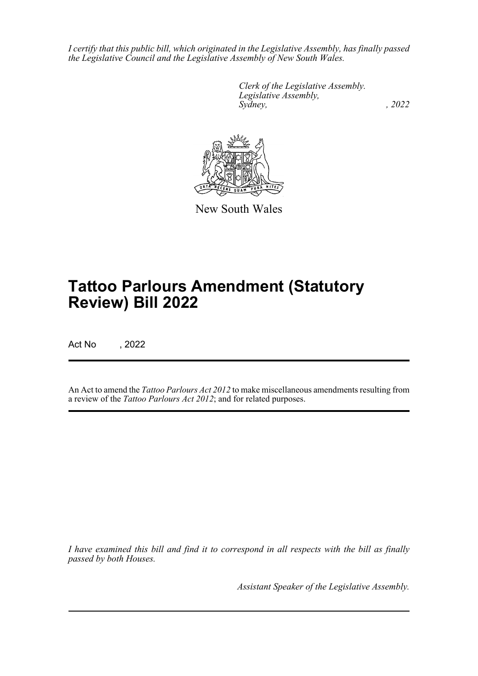*I certify that this public bill, which originated in the Legislative Assembly, has finally passed the Legislative Council and the Legislative Assembly of New South Wales.*

> *Clerk of the Legislative Assembly. Legislative Assembly, Sydney, , 2022*



New South Wales

# **Tattoo Parlours Amendment (Statutory Review) Bill 2022**

Act No , 2022

An Act to amend the *Tattoo Parlours Act 2012* to make miscellaneous amendments resulting from a review of the *Tattoo Parlours Act 2012*; and for related purposes.

*I have examined this bill and find it to correspond in all respects with the bill as finally passed by both Houses.*

*Assistant Speaker of the Legislative Assembly.*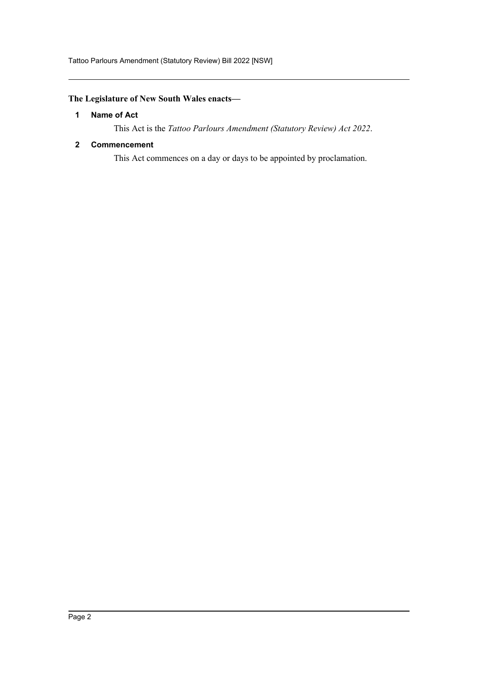Tattoo Parlours Amendment (Statutory Review) Bill 2022 [NSW]

## <span id="page-2-0"></span>**The Legislature of New South Wales enacts—**

## **1 Name of Act**

This Act is the *Tattoo Parlours Amendment (Statutory Review) Act 2022*.

## <span id="page-2-1"></span>**2 Commencement**

This Act commences on a day or days to be appointed by proclamation.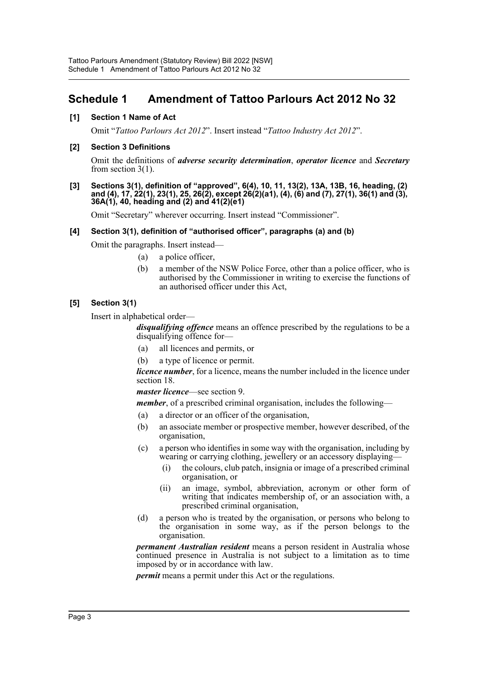## <span id="page-3-0"></span>**Schedule 1 Amendment of Tattoo Parlours Act 2012 No 32**

## **[1] Section 1 Name of Act**

Omit "*Tattoo Parlours Act 2012*". Insert instead "*Tattoo Industry Act 2012*".

## **[2] Section 3 Definitions**

Omit the definitions of *adverse security determination*, *operator licence* and *Secretary* from section 3(1).

#### **[3] Sections 3(1), definition of "approved", 6(4), 10, 11, 13(2), 13A, 13B, 16, heading, (2) and (4), 17, 22(1), 23(1), 25, 26(2), except 26(2)(a1), (4), (6) and (7), 27(1), 36(1) and (3), 36A(1), 40, heading and (2) and 41(2)(e1)**

Omit "Secretary" wherever occurring. Insert instead "Commissioner".

## **[4] Section 3(1), definition of "authorised officer", paragraphs (a) and (b)**

Omit the paragraphs. Insert instead—

- (a) a police officer,
- (b) a member of the NSW Police Force, other than a police officer, who is authorised by the Commissioner in writing to exercise the functions of an authorised officer under this Act,

## **[5] Section 3(1)**

Insert in alphabetical order—

*disqualifying offence* means an offence prescribed by the regulations to be a disqualifying offence for—

- (a) all licences and permits, or
- (b) a type of licence or permit.

*licence number*, for a licence, means the number included in the licence under section 18.

*master licence*—see section 9.

*member*, of a prescribed criminal organisation, includes the following—

- (a) a director or an officer of the organisation,
- (b) an associate member or prospective member, however described, of the organisation,
- (c) a person who identifies in some way with the organisation, including by wearing or carrying clothing, jewellery or an accessory displaying—
	- (i) the colours, club patch, insignia or image of a prescribed criminal organisation, or
	- (ii) an image, symbol, abbreviation, acronym or other form of writing that indicates membership of, or an association with, a prescribed criminal organisation,
- (d) a person who is treated by the organisation, or persons who belong to the organisation in some way, as if the person belongs to the organisation.

*permanent Australian resident* means a person resident in Australia whose continued presence in Australia is not subject to a limitation as to time imposed by or in accordance with law.

*permit* means a permit under this Act or the regulations.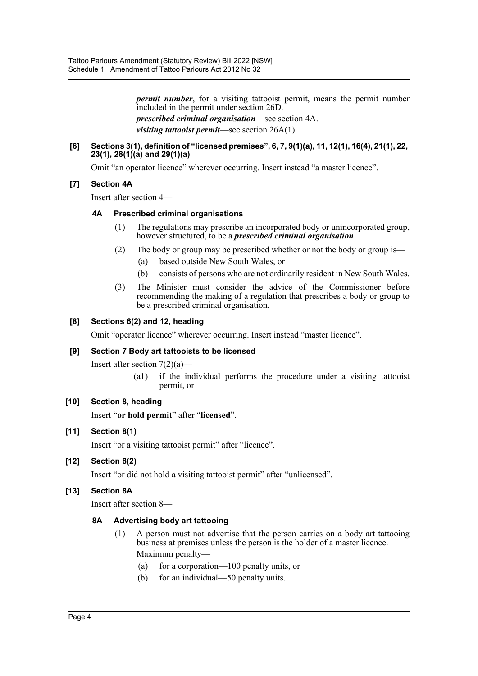*permit number*, for a visiting tattooist permit, means the permit number included in the permit under section 26D.

*prescribed criminal organisation*—see section 4A.

*visiting tattooist permit*—see section 26A(1).

#### **[6] Sections 3(1), definition of "licensed premises", 6, 7, 9(1)(a), 11, 12(1), 16(4), 21(1), 22, 23(1), 28(1)(a) and 29(1)(a)**

Omit "an operator licence" wherever occurring. Insert instead "a master licence".

## **[7] Section 4A**

Insert after section 4—

## **4A Prescribed criminal organisations**

- (1) The regulations may prescribe an incorporated body or unincorporated group, however structured, to be a *prescribed criminal organisation*.
- (2) The body or group may be prescribed whether or not the body or group is—
	- (a) based outside New South Wales, or
	- (b) consists of persons who are not ordinarily resident in New South Wales.
- (3) The Minister must consider the advice of the Commissioner before recommending the making of a regulation that prescribes a body or group to be a prescribed criminal organisation.

## **[8] Sections 6(2) and 12, heading**

Omit "operator licence" wherever occurring. Insert instead "master licence".

## **[9] Section 7 Body art tattooists to be licensed**

Insert after section  $7(2)(a)$ —

(a1) if the individual performs the procedure under a visiting tattooist permit, or

## **[10] Section 8, heading**

Insert "**or hold permit**" after "**licensed**".

## **[11] Section 8(1)**

Insert "or a visiting tattooist permit" after "licence".

## **[12] Section 8(2)**

Insert "or did not hold a visiting tattooist permit" after "unlicensed".

## **[13] Section 8A**

Insert after section 8—

## **8A Advertising body art tattooing**

- (1) A person must not advertise that the person carries on a body art tattooing business at premises unless the person is the holder of a master licence. Maximum penalty—
	- (a) for a corporation—100 penalty units, or
	- (b) for an individual—50 penalty units.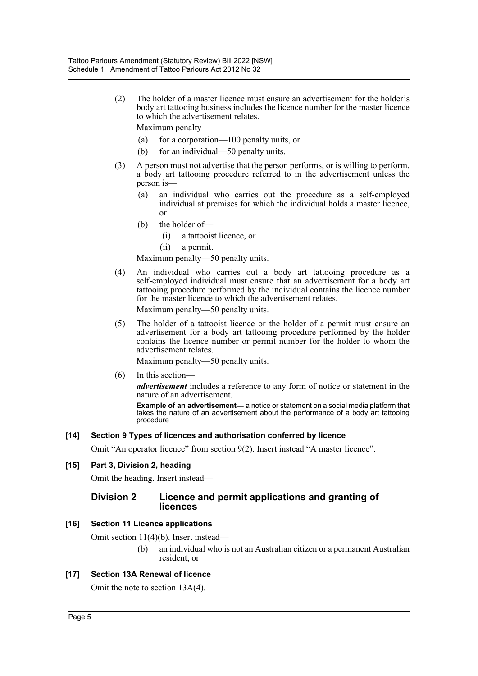(2) The holder of a master licence must ensure an advertisement for the holder's body art tattooing business includes the licence number for the master licence to which the advertisement relates.

Maximum penalty—

- (a) for a corporation—100 penalty units, or
- (b) for an individual—50 penalty units.
- (3) A person must not advertise that the person performs, or is willing to perform, a body art tattooing procedure referred to in the advertisement unless the person is—
	- (a) an individual who carries out the procedure as a self-employed individual at premises for which the individual holds a master licence, or
	- (b) the holder of—
		- (i) a tattooist licence, or
		- (ii) a permit.

Maximum penalty—50 penalty units.

(4) An individual who carries out a body art tattooing procedure as a self-employed individual must ensure that an advertisement for a body art tattooing procedure performed by the individual contains the licence number for the master licence to which the advertisement relates.

Maximum penalty—50 penalty units.

(5) The holder of a tattooist licence or the holder of a permit must ensure an advertisement for a body art tattooing procedure performed by the holder contains the licence number or permit number for the holder to whom the advertisement relates.

Maximum penalty—50 penalty units.

(6) In this section—

*advertisement* includes a reference to any form of notice or statement in the nature of an advertisement.

**Example of an advertisement—** a notice or statement on a social media platform that takes the nature of an advertisement about the performance of a body art tattooing procedure

## **[14] Section 9 Types of licences and authorisation conferred by licence**

Omit "An operator licence" from section 9(2). Insert instead "A master licence".

## **[15] Part 3, Division 2, heading**

Omit the heading. Insert instead—

## **Division 2 Licence and permit applications and granting of licences**

## **[16] Section 11 Licence applications**

Omit section 11(4)(b). Insert instead—

(b) an individual who is not an Australian citizen or a permanent Australian resident, or

## **[17] Section 13A Renewal of licence**

Omit the note to section 13A(4).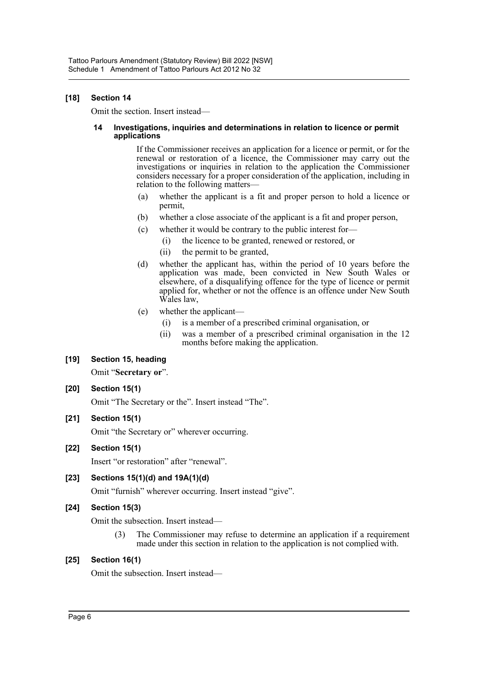## **[18] Section 14**

Omit the section. Insert instead—

#### **14 Investigations, inquiries and determinations in relation to licence or permit applications**

If the Commissioner receives an application for a licence or permit, or for the renewal or restoration of a licence, the Commissioner may carry out the investigations or inquiries in relation to the application the Commissioner considers necessary for a proper consideration of the application, including in relation to the following matters—

- (a) whether the applicant is a fit and proper person to hold a licence or permit,
- (b) whether a close associate of the applicant is a fit and proper person,
- (c) whether it would be contrary to the public interest for—
	- (i) the licence to be granted, renewed or restored, or
	- (ii) the permit to be granted,
- (d) whether the applicant has, within the period of 10 years before the application was made, been convicted in New South Wales or elsewhere, of a disqualifying offence for the type of licence or permit applied for, whether or not the offence is an offence under New South Wales law,
- (e) whether the applicant—
	- (i) is a member of a prescribed criminal organisation, or
	- (ii) was a member of a prescribed criminal organisation in the 12 months before making the application.

## **[19] Section 15, heading**

Omit "**Secretary or**".

## **[20] Section 15(1)**

Omit "The Secretary or the". Insert instead "The".

## **[21] Section 15(1)**

Omit "the Secretary or" wherever occurring.

## **[22] Section 15(1)**

Insert "or restoration" after "renewal".

## **[23] Sections 15(1)(d) and 19A(1)(d)**

Omit "furnish" wherever occurring. Insert instead "give".

## **[24] Section 15(3)**

Omit the subsection. Insert instead—

(3) The Commissioner may refuse to determine an application if a requirement made under this section in relation to the application is not complied with.

## **[25] Section 16(1)**

Omit the subsection. Insert instead—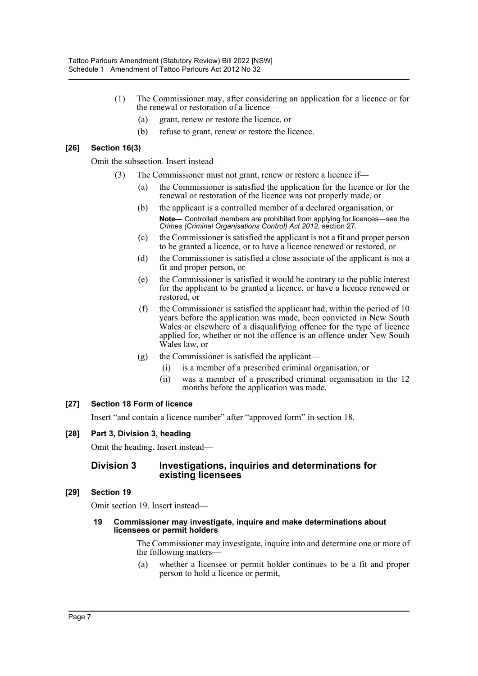- (1) The Commissioner may, after considering an application for a licence or for the renewal or restoration of a licence—
	- (a) grant, renew or restore the licence, or
	- (b) refuse to grant, renew or restore the licence.

## **[26] Section 16(3)**

Omit the subsection. Insert instead—

- (3) The Commissioner must not grant, renew or restore a licence if—
	- (a) the Commissioner is satisfied the application for the licence or for the renewal or restoration of the licence was not properly made, or
	- (b) the applicant is a controlled member of a declared organisation, or **Note—** Controlled members are prohibited from applying for licences—see the *Crimes (Criminal Organisations Control) Act 2012*, section 27.
	- (c) the Commissioner is satisfied the applicant is not a fit and proper person to be granted a licence, or to have a licence renewed or restored, or
	- (d) the Commissioner is satisfied a close associate of the applicant is not a fit and proper person, or
	- (e) the Commissioner is satisfied it would be contrary to the public interest for the applicant to be granted a licence, or have a licence renewed or restored, or
	- (f) the Commissioner is satisfied the applicant had, within the period of 10 years before the application was made, been convicted in New South Wales or elsewhere of a disqualifying offence for the type of licence applied for, whether or not the offence is an offence under New South Wales law, or
	- (g) the Commissioner is satisfied the applicant—
		- (i) is a member of a prescribed criminal organisation, or
		- (ii) was a member of a prescribed criminal organisation in the 12 months before the application was made.

## **[27] Section 18 Form of licence**

Insert "and contain a licence number" after "approved form" in section 18.

## **[28] Part 3, Division 3, heading**

Omit the heading. Insert instead—

## **Division 3 Investigations, inquiries and determinations for existing licensees**

## **[29] Section 19**

Omit section 19. Insert instead—

#### **19 Commissioner may investigate, inquire and make determinations about licensees or permit holders**

The Commissioner may investigate, inquire into and determine one or more of the following matters—

(a) whether a licensee or permit holder continues to be a fit and proper person to hold a licence or permit,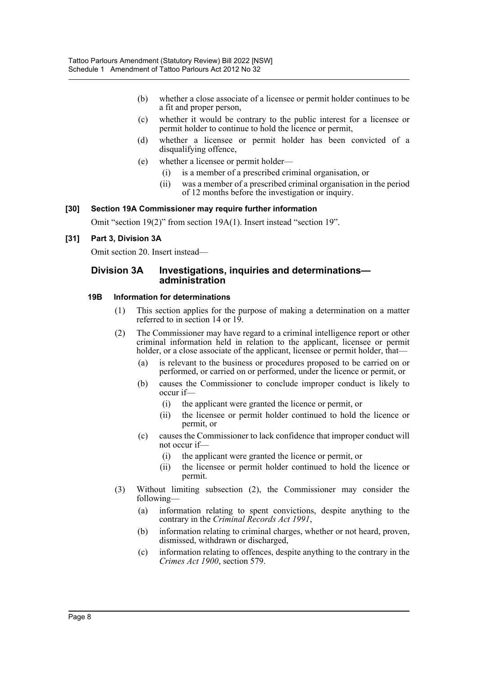- (b) whether a close associate of a licensee or permit holder continues to be a fit and proper person,
- (c) whether it would be contrary to the public interest for a licensee or permit holder to continue to hold the licence or permit,
- (d) whether a licensee or permit holder has been convicted of a disqualifying offence,
- (e) whether a licensee or permit holder—
	- (i) is a member of a prescribed criminal organisation, or
	- (ii) was a member of a prescribed criminal organisation in the period of 12 months before the investigation or inquiry.

## **[30] Section 19A Commissioner may require further information**

Omit "section 19(2)" from section 19A(1). Insert instead "section 19".

## **[31] Part 3, Division 3A**

Omit section 20. Insert instead—

## **Division 3A Investigations, inquiries and determinations administration**

#### **19B Information for determinations**

- (1) This section applies for the purpose of making a determination on a matter referred to in section 14 or 19.
- (2) The Commissioner may have regard to a criminal intelligence report or other criminal information held in relation to the applicant, licensee or permit holder, or a close associate of the applicant, licensee or permit holder, that—
	- (a) is relevant to the business or procedures proposed to be carried on or performed, or carried on or performed, under the licence or permit, or
	- (b) causes the Commissioner to conclude improper conduct is likely to occur if—
		- (i) the applicant were granted the licence or permit, or
		- (ii) the licensee or permit holder continued to hold the licence or permit, or
	- (c) causes the Commissioner to lack confidence that improper conduct will not occur if—
		- (i) the applicant were granted the licence or permit, or
		- (ii) the licensee or permit holder continued to hold the licence or permit.
- (3) Without limiting subsection (2), the Commissioner may consider the following—
	- (a) information relating to spent convictions, despite anything to the contrary in the *Criminal Records Act 1991*,
	- (b) information relating to criminal charges, whether or not heard, proven, dismissed, withdrawn or discharged,
	- (c) information relating to offences, despite anything to the contrary in the *Crimes Act 1900*, section 579.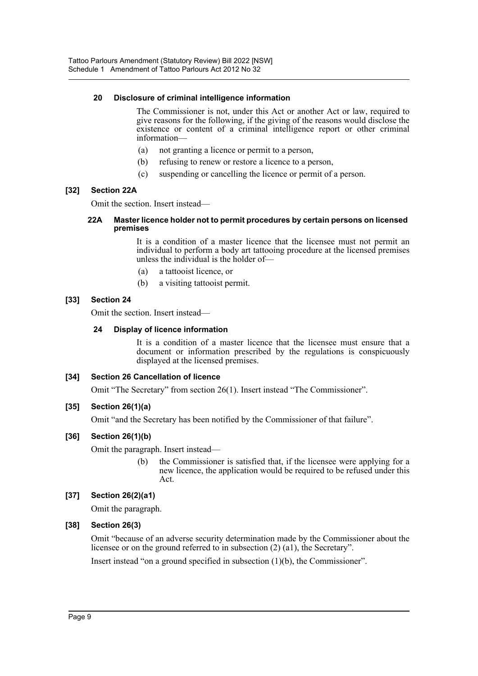## **20 Disclosure of criminal intelligence information**

The Commissioner is not, under this Act or another Act or law, required to give reasons for the following, if the giving of the reasons would disclose the existence or content of a criminal intelligence report or other criminal information—

- (a) not granting a licence or permit to a person,
- (b) refusing to renew or restore a licence to a person,
- (c) suspending or cancelling the licence or permit of a person.

## **[32] Section 22A**

Omit the section. Insert instead—

#### **22A Master licence holder not to permit procedures by certain persons on licensed premises**

It is a condition of a master licence that the licensee must not permit an individual to perform a body art tattooing procedure at the licensed premises unless the individual is the holder of—

- (a) a tattooist licence, or
- (b) a visiting tattooist permit.

## **[33] Section 24**

Omit the section. Insert instead—

## **24 Display of licence information**

It is a condition of a master licence that the licensee must ensure that a document or information prescribed by the regulations is conspicuously displayed at the licensed premises.

## **[34] Section 26 Cancellation of licence**

Omit "The Secretary" from section 26(1). Insert instead "The Commissioner".

## **[35] Section 26(1)(a)**

Omit "and the Secretary has been notified by the Commissioner of that failure".

## **[36] Section 26(1)(b)**

Omit the paragraph. Insert instead—

(b) the Commissioner is satisfied that, if the licensee were applying for a new licence, the application would be required to be refused under this Act.

## **[37] Section 26(2)(a1)**

Omit the paragraph.

## **[38] Section 26(3)**

Omit "because of an adverse security determination made by the Commissioner about the licensee or on the ground referred to in subsection (2) (a1), the Secretary".

Insert instead "on a ground specified in subsection (1)(b), the Commissioner".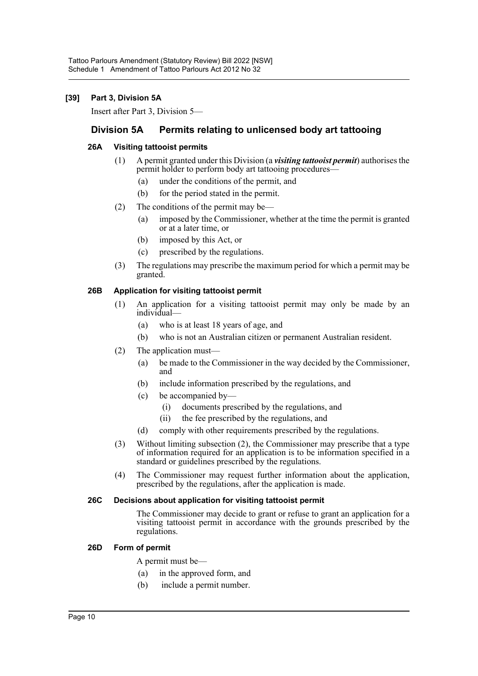## **[39] Part 3, Division 5A**

Insert after Part 3, Division 5—

## **Division 5A Permits relating to unlicensed body art tattooing**

## **26A Visiting tattooist permits**

- (1) A permit granted under this Division (a *visiting tattooist permit*) authorises the permit holder to perform body art tattooing procedures—
	- (a) under the conditions of the permit, and
	- (b) for the period stated in the permit.
- (2) The conditions of the permit may be—
	- (a) imposed by the Commissioner, whether at the time the permit is granted or at a later time, or
	- (b) imposed by this Act, or
	- (c) prescribed by the regulations.
- (3) The regulations may prescribe the maximum period for which a permit may be granted.

## **26B Application for visiting tattooist permit**

- (1) An application for a visiting tattooist permit may only be made by an individual—
	- (a) who is at least 18 years of age, and
	- (b) who is not an Australian citizen or permanent Australian resident.
- (2) The application must—
	- (a) be made to the Commissioner in the way decided by the Commissioner, and
	- (b) include information prescribed by the regulations, and
	- (c) be accompanied by—
		- (i) documents prescribed by the regulations, and
		- (ii) the fee prescribed by the regulations, and
	- (d) comply with other requirements prescribed by the regulations.
- (3) Without limiting subsection (2), the Commissioner may prescribe that a type of information required for an application is to be information specified in a standard or guidelines prescribed by the regulations.
- (4) The Commissioner may request further information about the application, prescribed by the regulations, after the application is made.

## **26C Decisions about application for visiting tattooist permit**

The Commissioner may decide to grant or refuse to grant an application for a visiting tattooist permit in accordance with the grounds prescribed by the regulations.

## **26D Form of permit**

- A permit must be—
- (a) in the approved form, and
- (b) include a permit number.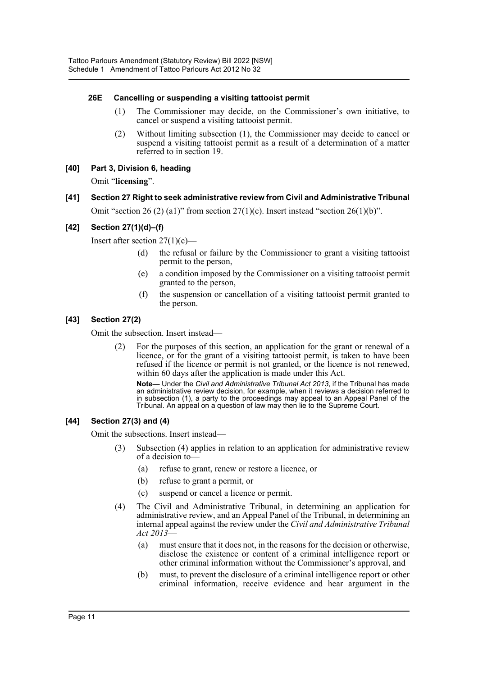## **26E Cancelling or suspending a visiting tattooist permit**

- (1) The Commissioner may decide, on the Commissioner's own initiative, to cancel or suspend a visiting tattooist permit.
- (2) Without limiting subsection (1), the Commissioner may decide to cancel or suspend a visiting tattooist permit as a result of a determination of a matter referred to in section 19.
- **[40] Part 3, Division 6, heading**

Omit "**licensing**".

## **[41] Section 27 Right to seek administrative review from Civil and Administrative Tribunal**

Omit "section 26 (2) (a1)" from section  $27(1)(c)$ . Insert instead "section  $26(1)(b)$ ".

## **[42] Section 27(1)(d)–(f)**

Insert after section  $27(1)(c)$ —

- (d) the refusal or failure by the Commissioner to grant a visiting tattooist permit to the person,
- (e) a condition imposed by the Commissioner on a visiting tattooist permit granted to the person,
- (f) the suspension or cancellation of a visiting tattooist permit granted to the person.

## **[43] Section 27(2)**

Omit the subsection. Insert instead—

(2) For the purposes of this section, an application for the grant or renewal of a licence, or for the grant of a visiting tattooist permit, is taken to have been refused if the licence or permit is not granted, or the licence is not renewed, within 60 days after the application is made under this Act.

**Note—** Under the *Civil and Administrative Tribunal Act 2013*, if the Tribunal has made an administrative review decision, for example, when it reviews a decision referred to in subsection (1), a party to the proceedings may appeal to an Appeal Panel of the Tribunal. An appeal on a question of law may then lie to the Supreme Court.

## **[44] Section 27(3) and (4)**

Omit the subsections. Insert instead—

- (3) Subsection (4) applies in relation to an application for administrative review of a decision to—
	- (a) refuse to grant, renew or restore a licence, or
	- (b) refuse to grant a permit, or
	- (c) suspend or cancel a licence or permit.
- (4) The Civil and Administrative Tribunal, in determining an application for administrative review, and an Appeal Panel of the Tribunal, in determining an internal appeal against the review under the *Civil and Administrative Tribunal Act 2013*—
	- (a) must ensure that it does not, in the reasons for the decision or otherwise, disclose the existence or content of a criminal intelligence report or other criminal information without the Commissioner's approval, and
	- (b) must, to prevent the disclosure of a criminal intelligence report or other criminal information, receive evidence and hear argument in the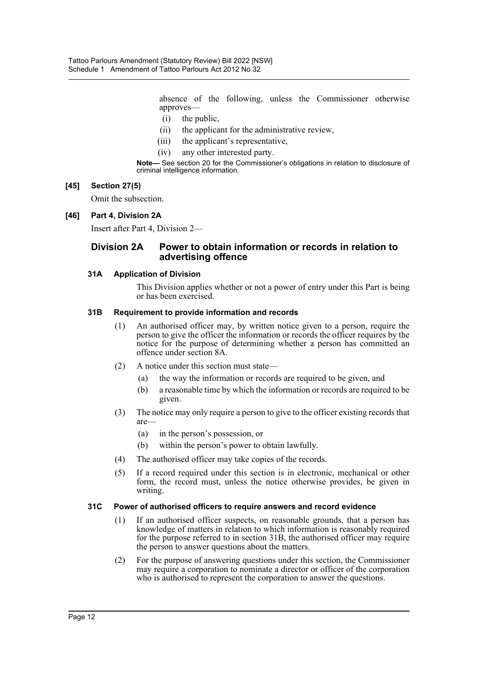absence of the following, unless the Commissioner otherwise approves—

- (i) the public,
- (ii) the applicant for the administrative review,
- (iii) the applicant's representative,
- (iv) any other interested party.

**Note—** See section 20 for the Commissioner's obligations in relation to disclosure of criminal intelligence information.

## **[45] Section 27(5)**

Omit the subsection.

## **[46] Part 4, Division 2A**

Insert after Part 4, Division 2—

## **Division 2A Power to obtain information or records in relation to advertising offence**

## **31A Application of Division**

This Division applies whether or not a power of entry under this Part is being or has been exercised.

## **31B Requirement to provide information and records**

- (1) An authorised officer may, by written notice given to a person, require the person to give the officer the information or records the officer requires by the notice for the purpose of determining whether a person has committed an offence under section 8A.
- (2) A notice under this section must state—
	- (a) the way the information or records are required to be given, and
	- (b) a reasonable time by which the information or records are required to be given.
- (3) The notice may only require a person to give to the officer existing records that are—
	- (a) in the person's possession, or
	- (b) within the person's power to obtain lawfully.
- (4) The authorised officer may take copies of the records.
- (5) If a record required under this section is in electronic, mechanical or other form, the record must, unless the notice otherwise provides, be given in writing.

## **31C Power of authorised officers to require answers and record evidence**

- (1) If an authorised officer suspects, on reasonable grounds, that a person has knowledge of matters in relation to which information is reasonably required for the purpose referred to in section 31B, the authorised officer may require the person to answer questions about the matters.
- (2) For the purpose of answering questions under this section, the Commissioner may require a corporation to nominate a director or officer of the corporation who is authorised to represent the corporation to answer the questions.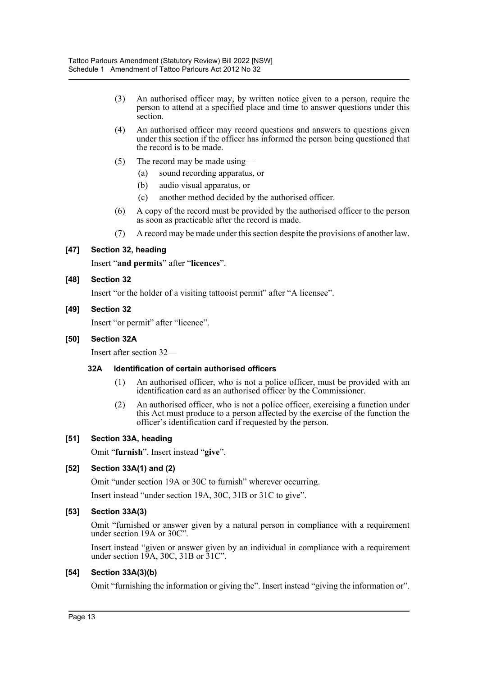- (3) An authorised officer may, by written notice given to a person, require the person to attend at a specified place and time to answer questions under this section.
- (4) An authorised officer may record questions and answers to questions given under this section if the officer has informed the person being questioned that the record is to be made.
- (5) The record may be made using—
	- (a) sound recording apparatus, or
	- (b) audio visual apparatus, or
	- (c) another method decided by the authorised officer.
- (6) A copy of the record must be provided by the authorised officer to the person as soon as practicable after the record is made.
- (7) A record may be made under this section despite the provisions of another law.

## **[47] Section 32, heading**

Insert "**and permits**" after "**licences**".

## **[48] Section 32**

Insert "or the holder of a visiting tattooist permit" after "A licensee".

## **[49] Section 32**

Insert "or permit" after "licence".

## **[50] Section 32A**

Insert after section 32—

## **32A Identification of certain authorised officers**

- (1) An authorised officer, who is not a police officer, must be provided with an identification card as an authorised officer by the Commissioner.
- (2) An authorised officer, who is not a police officer, exercising a function under this Act must produce to a person affected by the exercise of the function the officer's identification card if requested by the person.

## **[51] Section 33A, heading**

Omit "**furnish**". Insert instead "**give**".

## **[52] Section 33A(1) and (2)**

Omit "under section 19A or 30C to furnish" wherever occurring.

Insert instead "under section 19A, 30C, 31B or 31C to give".

## **[53] Section 33A(3)**

Omit "furnished or answer given by a natural person in compliance with a requirement under section 19A or 30C".

Insert instead "given or answer given by an individual in compliance with a requirement under section 19A, 30C, 31B or 31C".

## **[54] Section 33A(3)(b)**

Omit "furnishing the information or giving the". Insert instead "giving the information or".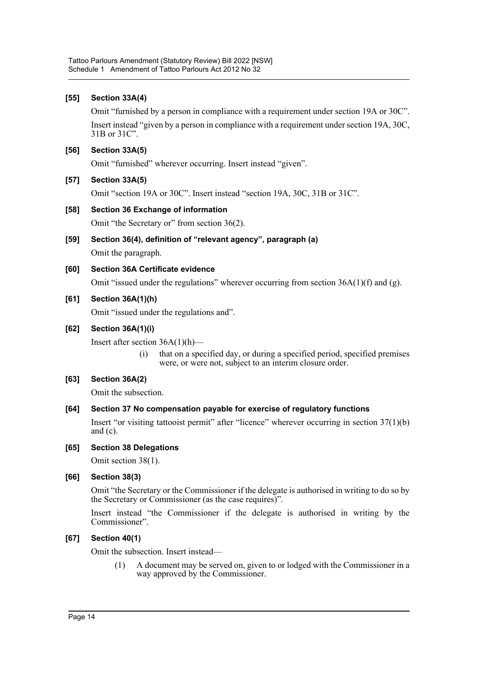## **[55] Section 33A(4)**

Omit "furnished by a person in compliance with a requirement under section 19A or 30C". Insert instead "given by a person in compliance with a requirement under section 19A, 30C, 31B or 31C".

## **[56] Section 33A(5)**

Omit "furnished" wherever occurring. Insert instead "given".

## **[57] Section 33A(5)**

Omit "section 19A or 30C". Insert instead "section 19A, 30C, 31B or 31C".

## **[58] Section 36 Exchange of information**

Omit "the Secretary or" from section 36(2).

- **[59] Section 36(4), definition of "relevant agency", paragraph (a)** Omit the paragraph.
- **[60] Section 36A Certificate evidence** Omit "issued under the regulations" wherever occurring from section  $36A(1)(f)$  and (g).

## **[61] Section 36A(1)(h)**

Omit "issued under the regulations and".

## **[62] Section 36A(1)(i)**

Insert after section  $36A(1)(h)$ 

(i) that on a specified day, or during a specified period, specified premises were, or were not, subject to an interim closure order.

## **[63] Section 36A(2)**

Omit the subsection.

## **[64] Section 37 No compensation payable for exercise of regulatory functions**

Insert "or visiting tattooist permit" after "licence" wherever occurring in section 37(1)(b) and (c).

## **[65] Section 38 Delegations**

Omit section 38(1).

## **[66] Section 38(3)**

Omit "the Secretary or the Commissioner if the delegate is authorised in writing to do so by the Secretary or Commissioner (as the case requires)".

Insert instead "the Commissioner if the delegate is authorised in writing by the Commissioner".

## **[67] Section 40(1)**

Omit the subsection. Insert instead—

(1) A document may be served on, given to or lodged with the Commissioner in a way approved by the Commissioner.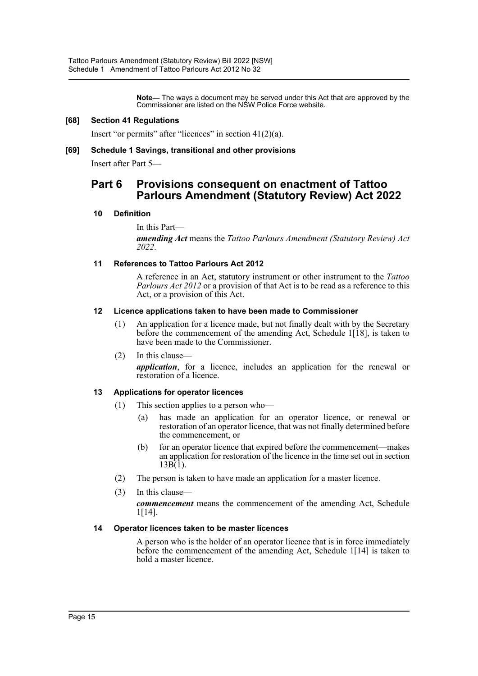**Note—** The ways a document may be served under this Act that are approved by the Commissioner are listed on the NSW Police Force website.

#### **[68] Section 41 Regulations**

Insert "or permits" after "licences" in section 41(2)(a).

#### **[69] Schedule 1 Savings, transitional and other provisions**

Insert after Part 5—

## **Part 6 Provisions consequent on enactment of Tattoo Parlours Amendment (Statutory Review) Act 2022**

#### **10 Definition**

In this Part—

*amending Act* means the *Tattoo Parlours Amendment (Statutory Review) Act 2022*.

#### **11 References to Tattoo Parlours Act 2012**

A reference in an Act, statutory instrument or other instrument to the *Tattoo Parlours Act 2012* or a provision of that Act is to be read as a reference to this Act, or a provision of this Act.

#### **12 Licence applications taken to have been made to Commissioner**

- (1) An application for a licence made, but not finally dealt with by the Secretary before the commencement of the amending Act, Schedule 1[18], is taken to have been made to the Commissioner.
- (2) In this clause—

*application*, for a licence, includes an application for the renewal or restoration of a licence.

## **13 Applications for operator licences**

- (1) This section applies to a person who—
	- (a) has made an application for an operator licence, or renewal or restoration of an operator licence, that was not finally determined before the commencement, or
	- (b) for an operator licence that expired before the commencement—makes an application for restoration of the licence in the time set out in section 13B(1).
- (2) The person is taken to have made an application for a master licence.
- (3) In this clause—

*commencement* means the commencement of the amending Act, Schedule 1[14].

#### **14 Operator licences taken to be master licences**

A person who is the holder of an operator licence that is in force immediately before the commencement of the amending Act, Schedule 1[14] is taken to hold a master licence.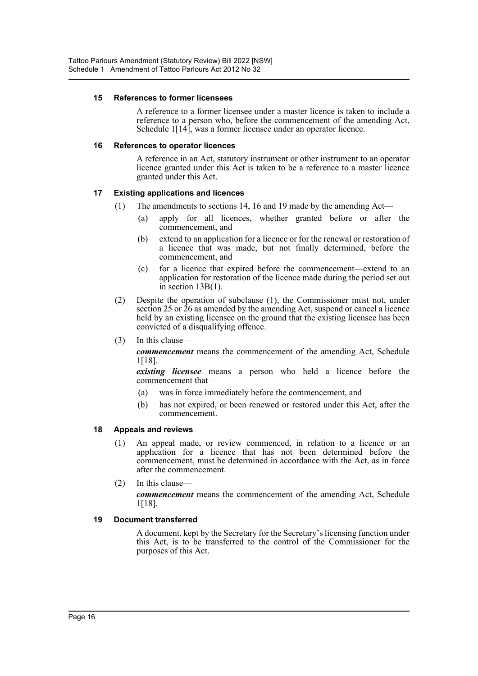#### **15 References to former licensees**

A reference to a former licensee under a master licence is taken to include a reference to a person who, before the commencement of the amending Act, Schedule 1[14], was a former licensee under an operator licence.

#### **16 References to operator licences**

A reference in an Act, statutory instrument or other instrument to an operator licence granted under this Act is taken to be a reference to a master licence granted under this Act.

## **17 Existing applications and licences**

- (1) The amendments to sections 14, 16 and 19 made by the amending Act—
	- (a) apply for all licences, whether granted before or after the commencement, and
	- (b) extend to an application for a licence or for the renewal or restoration of a licence that was made, but not finally determined, before the commencement, and
	- (c) for a licence that expired before the commencement—extend to an application for restoration of the licence made during the period set out in section 13B(1).
- (2) Despite the operation of subclause (1), the Commissioner must not, under section 25 or 26 as amended by the amending Act, suspend or cancel a licence held by an existing licensee on the ground that the existing licensee has been convicted of a disqualifying offence.
- (3) In this clause—

*commencement* means the commencement of the amending Act, Schedule 1[18].

*existing licensee* means a person who held a licence before the commencement that—

- (a) was in force immediately before the commencement, and
- (b) has not expired, or been renewed or restored under this Act, after the commencement.

#### **18 Appeals and reviews**

- (1) An appeal made, or review commenced, in relation to a licence or an application for a licence that has not been determined before the commencement, must be determined in accordance with the Act, as in force after the commencement.
- (2) In this clause—

*commencement* means the commencement of the amending Act, Schedule 1[18].

#### **19 Document transferred**

A document, kept by the Secretary for the Secretary's licensing function under this Act, is to be transferred to the control of the Commissioner for the purposes of this Act.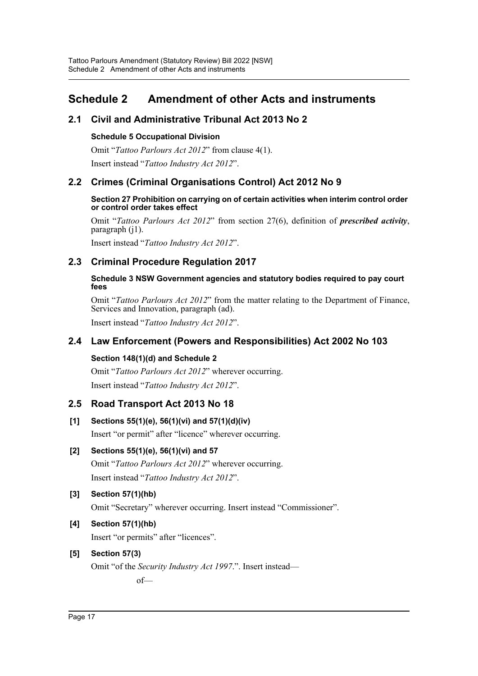## <span id="page-17-0"></span>**Schedule 2 Amendment of other Acts and instruments**

## **2.1 Civil and Administrative Tribunal Act 2013 No 2**

## **Schedule 5 Occupational Division**

Omit "*Tattoo Parlours Act 2012*" from clause 4(1). Insert instead "*Tattoo Industry Act 2012*".

## **2.2 Crimes (Criminal Organisations Control) Act 2012 No 9**

#### **Section 27 Prohibition on carrying on of certain activities when interim control order or control order takes effect**

Omit "*Tattoo Parlours Act 2012*" from section 27(6), definition of *prescribed activity*, paragraph (j1).

Insert instead "*Tattoo Industry Act 2012*".

## **2.3 Criminal Procedure Regulation 2017**

## **Schedule 3 NSW Government agencies and statutory bodies required to pay court fees**

Omit "*Tattoo Parlours Act 2012*" from the matter relating to the Department of Finance, Services and Innovation, paragraph (ad).

Insert instead "*Tattoo Industry Act 2012*".

## **2.4 Law Enforcement (Powers and Responsibilities) Act 2002 No 103**

## **Section 148(1)(d) and Schedule 2**

Omit "*Tattoo Parlours Act 2012*" wherever occurring. Insert instead "*Tattoo Industry Act 2012*".

## **2.5 Road Transport Act 2013 No 18**

## **[1] Sections 55(1)(e), 56(1)(vi) and 57(1)(d)(iv)**

Insert "or permit" after "licence" wherever occurring.

## **[2] Sections 55(1)(e), 56(1)(vi) and 57**

Omit "*Tattoo Parlours Act 2012*" wherever occurring. Insert instead "*Tattoo Industry Act 2012*".

## **[3] Section 57(1)(hb)**

Omit "Secretary" wherever occurring. Insert instead "Commissioner".

## **[4] Section 57(1)(hb)**

Insert "or permits" after "licences".

## **[5] Section 57(3)**

Omit "of the *Security Industry Act 1997*.". Insert instead of—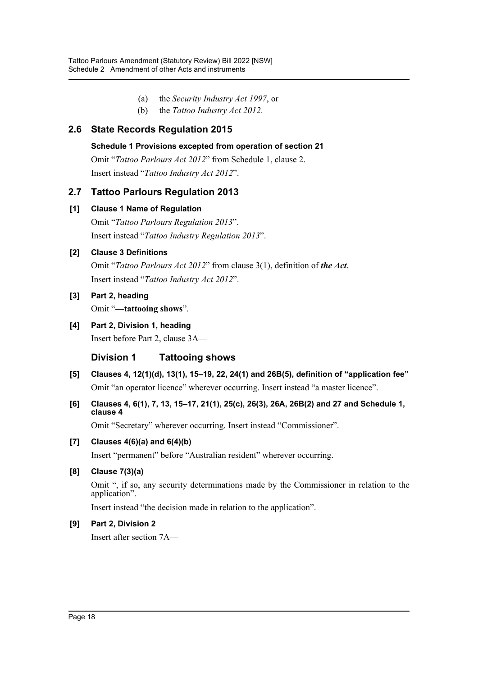- (a) the *Security Industry Act 1997*, or
- (b) the *Tattoo Industry Act 2012*.

## **2.6 State Records Regulation 2015**

## **Schedule 1 Provisions excepted from operation of section 21**

Omit "*Tattoo Parlours Act 2012*" from Schedule 1, clause 2. Insert instead "*Tattoo Industry Act 2012*".

## **2.7 Tattoo Parlours Regulation 2013**

## **[1] Clause 1 Name of Regulation**

Omit "*Tattoo Parlours Regulation 2013*". Insert instead "*Tattoo Industry Regulation 2013*".

## **[2] Clause 3 Definitions**

Omit "*Tattoo Parlours Act 2012*" from clause 3(1), definition of *the Act*. Insert instead "*Tattoo Industry Act 2012*".

## **[3] Part 2, heading**

Omit "**—tattooing shows**".

**[4] Part 2, Division 1, heading**

Insert before Part 2, clause 3A—

## **Division 1 Tattooing shows**

- **[5] Clauses 4, 12(1)(d), 13(1), 15–19, 22, 24(1) and 26B(5), definition of "application fee"** Omit "an operator licence" wherever occurring. Insert instead "a master licence".
- **[6] Clauses 4, 6(1), 7, 13, 15–17, 21(1), 25(c), 26(3), 26A, 26B(2) and 27 and Schedule 1, clause 4**

Omit "Secretary" wherever occurring. Insert instead "Commissioner".

## **[7] Clauses 4(6)(a) and 6(4)(b)**

Insert "permanent" before "Australian resident" wherever occurring.

## **[8] Clause 7(3)(a)**

Omit ", if so, any security determinations made by the Commissioner in relation to the application".

Insert instead "the decision made in relation to the application".

## **[9] Part 2, Division 2**

Insert after section 7A—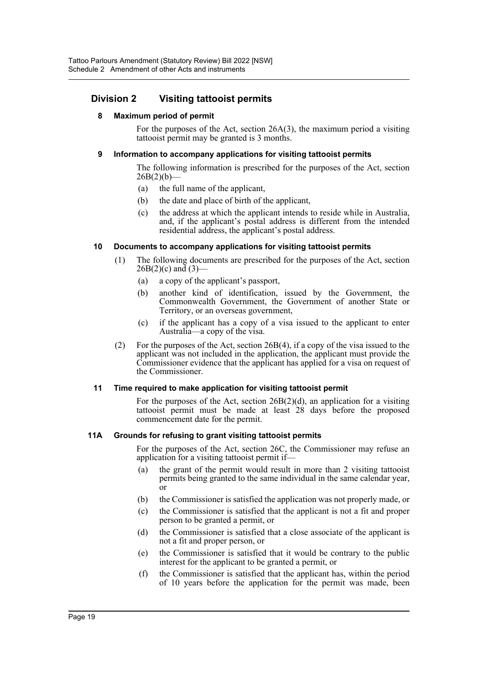## **Division 2 Visiting tattooist permits**

## **8 Maximum period of permit**

For the purposes of the Act, section 26A(3), the maximum period a visiting tattooist permit may be granted is 3 months.

## **9 Information to accompany applications for visiting tattooist permits**

The following information is prescribed for the purposes of the Act, section  $26B(2)(b)$ —

- (a) the full name of the applicant,
- (b) the date and place of birth of the applicant,
- (c) the address at which the applicant intends to reside while in Australia, and, if the applicant's postal address is different from the intended residential address, the applicant's postal address.

## **10 Documents to accompany applications for visiting tattooist permits**

- (1) The following documents are prescribed for the purposes of the Act, section  $26B(2)(c)$  and  $(3)$ -
	- (a) a copy of the applicant's passport,
	- (b) another kind of identification, issued by the Government, the Commonwealth Government, the Government of another State or Territory, or an overseas government,
	- (c) if the applicant has a copy of a visa issued to the applicant to enter Australia—a copy of the visa.
- (2) For the purposes of the Act, section 26B(4), if a copy of the visa issued to the applicant was not included in the application, the applicant must provide the Commissioner evidence that the applicant has applied for a visa on request of the Commissioner.

## **11 Time required to make application for visiting tattooist permit**

For the purposes of the Act, section  $26B(2)(d)$ , an application for a visiting tattooist permit must be made at least 28 days before the proposed commencement date for the permit.

## **11A Grounds for refusing to grant visiting tattooist permits**

For the purposes of the Act, section 26C, the Commissioner may refuse an application for a visiting tattooist permit if—

- (a) the grant of the permit would result in more than 2 visiting tattooist permits being granted to the same individual in the same calendar year, or
- (b) the Commissioner is satisfied the application was not properly made, or
- (c) the Commissioner is satisfied that the applicant is not a fit and proper person to be granted a permit, or
- (d) the Commissioner is satisfied that a close associate of the applicant is not a fit and proper person, or
- (e) the Commissioner is satisfied that it would be contrary to the public interest for the applicant to be granted a permit, or
- (f) the Commissioner is satisfied that the applicant has, within the period of 10 years before the application for the permit was made, been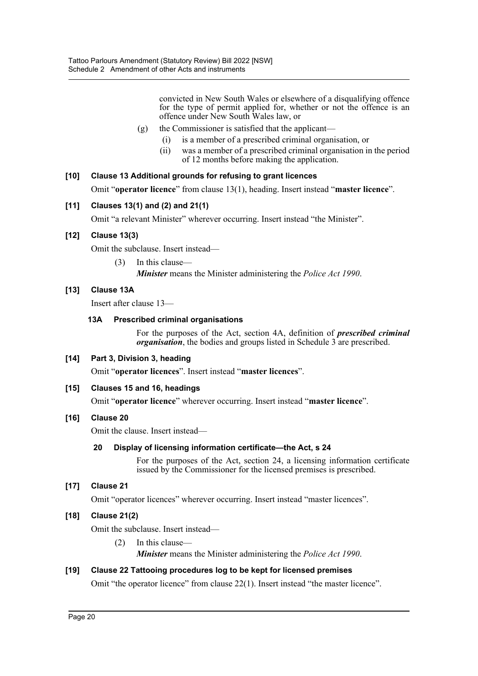convicted in New South Wales or elsewhere of a disqualifying offence for the type of permit applied for, whether or not the offence is an offence under New South Wales law, or

- (g) the Commissioner is satisfied that the applicant—
	- (i) is a member of a prescribed criminal organisation, or
	- (ii) was a member of a prescribed criminal organisation in the period of 12 months before making the application.

## **[10] Clause 13 Additional grounds for refusing to grant licences**

Omit "**operator licence**" from clause 13(1), heading. Insert instead "**master licence**".

## **[11] Clauses 13(1) and (2) and 21(1)**

Omit "a relevant Minister" wherever occurring. Insert instead "the Minister".

## **[12] Clause 13(3)**

Omit the subclause. Insert instead—

(3) In this clause— *Minister* means the Minister administering the *Police Act 1990*.

## **[13] Clause 13A**

Insert after clause 13—

## **13A Prescribed criminal organisations**

For the purposes of the Act, section 4A, definition of *prescribed criminal organisation*, the bodies and groups listed in Schedule 3 are prescribed.

## **[14] Part 3, Division 3, heading**

Omit "**operator licences**". Insert instead "**master licences**".

## **[15] Clauses 15 and 16, headings**

Omit "**operator licence**" wherever occurring. Insert instead "**master licence**".

## **[16] Clause 20**

Omit the clause. Insert instead—

## **20 Display of licensing information certificate—the Act, s 24**

For the purposes of the Act, section 24, a licensing information certificate issued by the Commissioner for the licensed premises is prescribed.

## **[17] Clause 21**

Omit "operator licences" wherever occurring. Insert instead "master licences".

## **[18] Clause 21(2)**

Omit the subclause. Insert instead—

(2) In this clause—

*Minister* means the Minister administering the *Police Act 1990*.

## **[19] Clause 22 Tattooing procedures log to be kept for licensed premises**

Omit "the operator licence" from clause 22(1). Insert instead "the master licence".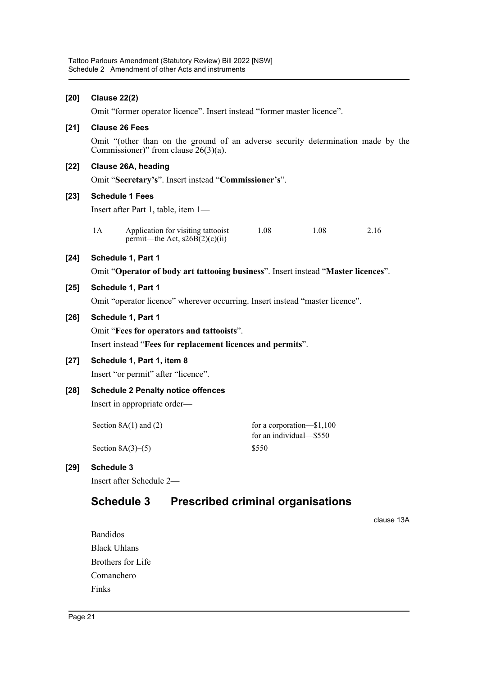| $[20]$ | <b>Clause 22(2)</b>                                                                                                         |                                                                        |       |                                                        |      |      |  |  |  |
|--------|-----------------------------------------------------------------------------------------------------------------------------|------------------------------------------------------------------------|-------|--------------------------------------------------------|------|------|--|--|--|
|        | Omit "former operator licence". Insert instead "former master licence".                                                     |                                                                        |       |                                                        |      |      |  |  |  |
| $[21]$ | <b>Clause 26 Fees</b>                                                                                                       |                                                                        |       |                                                        |      |      |  |  |  |
|        | Omit "(other than on the ground of an adverse security determination made by the<br>Commissioner)" from clause $26(3)(a)$ . |                                                                        |       |                                                        |      |      |  |  |  |
| $[22]$ | Clause 26A, heading                                                                                                         |                                                                        |       |                                                        |      |      |  |  |  |
|        | Omit "Secretary's". Insert instead "Commissioner's".                                                                        |                                                                        |       |                                                        |      |      |  |  |  |
| $[23]$ | <b>Schedule 1 Fees</b>                                                                                                      |                                                                        |       |                                                        |      |      |  |  |  |
|        | Insert after Part 1, table, item 1-                                                                                         |                                                                        |       |                                                        |      |      |  |  |  |
|        | 1A                                                                                                                          | Application for visiting tattooist<br>permit—the Act, $s26B(2)(c)(ii)$ | 1.08  |                                                        | 1.08 | 2.16 |  |  |  |
| $[24]$ |                                                                                                                             |                                                                        |       |                                                        |      |      |  |  |  |
|        | Omit "Operator of body art tattooing business". Insert instead "Master licences".                                           |                                                                        |       |                                                        |      |      |  |  |  |
| $[25]$ | Schedule 1, Part 1                                                                                                          |                                                                        |       |                                                        |      |      |  |  |  |
|        | Omit "operator licence" wherever occurring. Insert instead "master licence".                                                |                                                                        |       |                                                        |      |      |  |  |  |
| $[26]$ | Schedule 1, Part 1                                                                                                          |                                                                        |       |                                                        |      |      |  |  |  |
|        | Omit "Fees for operators and tattooists".                                                                                   |                                                                        |       |                                                        |      |      |  |  |  |
|        | Insert instead "Fees for replacement licences and permits".                                                                 |                                                                        |       |                                                        |      |      |  |  |  |
| $[27]$ | Schedule 1, Part 1, item 8                                                                                                  |                                                                        |       |                                                        |      |      |  |  |  |
|        |                                                                                                                             | Insert "or permit" after "licence".                                    |       |                                                        |      |      |  |  |  |
| $[28]$ | <b>Schedule 2 Penalty notice offences</b>                                                                                   |                                                                        |       |                                                        |      |      |  |  |  |
|        | Insert in appropriate order—                                                                                                |                                                                        |       |                                                        |      |      |  |  |  |
|        |                                                                                                                             | Section $8A(1)$ and $(2)$                                              |       | for a corporation- $$1,100$<br>for an individual-\$550 |      |      |  |  |  |
|        |                                                                                                                             | Section $8A(3)–(5)$                                                    | \$550 |                                                        |      |      |  |  |  |

## **[29] Schedule 3**

Insert after Schedule 2—

## **Schedule 3 Prescribed criminal organisations**

clause 13A

Bandidos Black Uhlans Brothers for Life Comanchero Finks